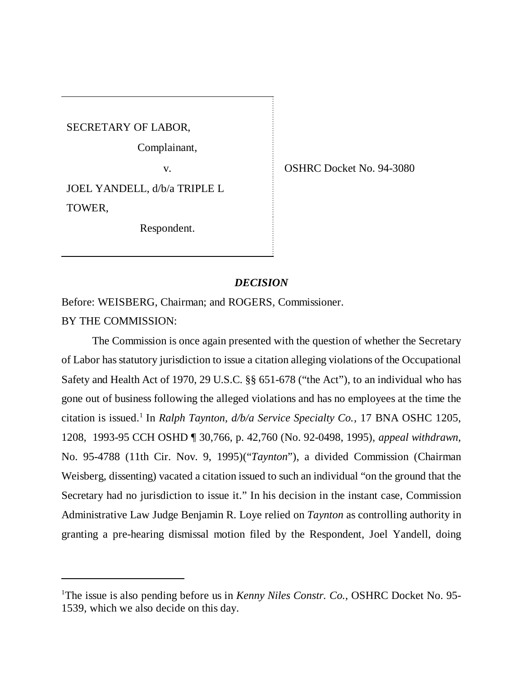SECRETARY OF LABOR,

Complainant,

JOEL YANDELL, d/b/a TRIPLE L TOWER,

Respondent.

v. COSHRC Docket No. 94-3080

## *DECISION*

Before: WEISBERG, Chairman; and ROGERS, Commissioner. BY THE COMMISSION:

The Commission is once again presented with the question of whether the Secretary of Labor has statutory jurisdiction to issue a citation alleging violations of the Occupational Safety and Health Act of 1970, 29 U.S.C. §§ 651-678 ("the Act"), to an individual who has gone out of business following the alleged violations and has no employees at the time the citation is issued.<sup>1</sup> In *Ralph Taynton, d/b/a Service Specialty Co.*, 17 BNA OSHC 1205, 1208, 1993-95 CCH OSHD ¶ 30,766, p. 42,760 (No. 92-0498, 1995), *appeal withdrawn*, No. 95-4788 (11th Cir. Nov. 9, 1995)("*Taynton*"), a divided Commission (Chairman Weisberg, dissenting) vacated a citation issued to such an individual "on the ground that the Secretary had no jurisdiction to issue it." In his decision in the instant case, Commission Administrative Law Judge Benjamin R. Loye relied on *Taynton* as controlling authority in granting a pre-hearing dismissal motion filed by the Respondent, Joel Yandell, doing

<sup>&</sup>lt;sup>1</sup>The issue is also pending before us in *Kenny Niles Constr. Co.*, OSHRC Docket No. 95-1539, which we also decide on this day.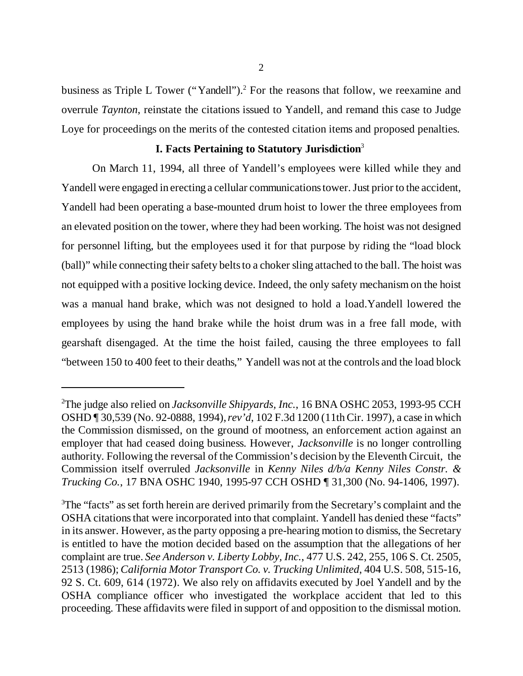business as Triple L Tower ("Yandell").<sup>2</sup> For the reasons that follow, we reexamine and overrule *Taynton*, reinstate the citations issued to Yandell, and remand this case to Judge Loye for proceedings on the merits of the contested citation items and proposed penalties.

#### **I. Facts Pertaining to Statutory Jurisdiction**<sup>3</sup>

On March 11, 1994, all three of Yandell's employees were killed while they and Yandell were engaged in erecting a cellular communications tower. Just prior to the accident, Yandell had been operating a base-mounted drum hoist to lower the three employees from an elevated position on the tower, where they had been working. The hoist was not designed for personnel lifting, but the employees used it for that purpose by riding the "load block (ball)" while connecting their safety belts to a choker sling attached to the ball. The hoist was not equipped with a positive locking device. Indeed, the only safety mechanism on the hoist was a manual hand brake, which was not designed to hold a load.Yandell lowered the employees by using the hand brake while the hoist drum was in a free fall mode, with gearshaft disengaged. At the time the hoist failed, causing the three employees to fall "between 150 to 400 feet to their deaths," Yandell was not at the controls and the load block

<sup>2</sup>The judge also relied on *Jacksonville Shipyards, Inc.*, 16 BNA OSHC 2053, 1993-95 CCH OSHD ¶ 30,539 (No. 92-0888, 1994), *rev'd*, 102 F.3d 1200 (11th Cir. 1997), a case in which the Commission dismissed, on the ground of mootness, an enforcement action against an employer that had ceased doing business. However, *Jacksonville* is no longer controlling authority. Following the reversal of the Commission's decision by the Eleventh Circuit, the Commission itself overruled *Jacksonville* in *Kenny Niles d/b/a Kenny Niles Constr. & Trucking Co.*, 17 BNA OSHC 1940, 1995-97 CCH OSHD ¶ 31,300 (No. 94-1406, 1997).

<sup>&</sup>lt;sup>3</sup>The "facts" as set forth herein are derived primarily from the Secretary's complaint and the OSHA citations that were incorporated into that complaint. Yandell has denied these "facts" in its answer. However, as the party opposing a pre-hearing motion to dismiss, the Secretary is entitled to have the motion decided based on the assumption that the allegations of her complaint are true. *See Anderson v. Liberty Lobby, Inc.*, 477 U.S. 242, 255, 106 S. Ct. 2505, 2513 (1986); *California Motor Transport Co. v. Trucking Unlimited*, 404 U.S. 508, 515-16, 92 S. Ct. 609, 614 (1972). We also rely on affidavits executed by Joel Yandell and by the OSHA compliance officer who investigated the workplace accident that led to this proceeding. These affidavits were filed in support of and opposition to the dismissal motion.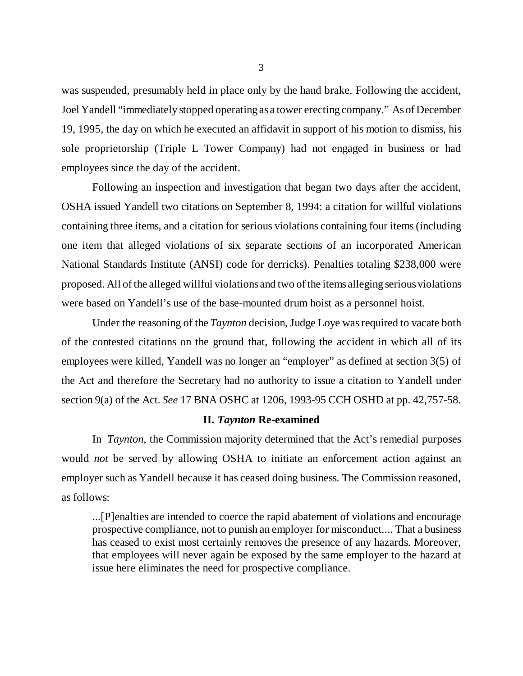was suspended, presumably held in place only by the hand brake. Following the accident, Joel Yandell "immediately stopped operating as a tower erecting company." As of December 19, 1995, the day on which he executed an affidavit in support of his motion to dismiss, his sole proprietorship (Triple L Tower Company) had not engaged in business or had employees since the day of the accident.

Following an inspection and investigation that began two days after the accident, OSHA issued Yandell two citations on September 8, 1994: a citation for willful violations containing three items, and a citation for serious violations containing four items (including one item that alleged violations of six separate sections of an incorporated American National Standards Institute (ANSI) code for derricks). Penalties totaling \$238,000 were proposed. All of the alleged willful violations and two of the items alleging serious violations were based on Yandell's use of the base-mounted drum hoist as a personnel hoist.

Under the reasoning of the *Taynton* decision, Judge Loye was required to vacate both of the contested citations on the ground that, following the accident in which all of its employees were killed, Yandell was no longer an "employer" as defined at section 3(5) of the Act and therefore the Secretary had no authority to issue a citation to Yandell under section 9(a) of the Act. *See* 17 BNA OSHC at 1206, 1993-95 CCH OSHD at pp. 42,757-58.

#### **II.** *Taynton* **Re-examined**

In *Taynton*, the Commission majority determined that the Act's remedial purposes would *not* be served by allowing OSHA to initiate an enforcement action against an employer such as Yandell because it has ceased doing business. The Commission reasoned, as follows:

...[P]enalties are intended to coerce the rapid abatement of violations and encourage prospective compliance, not to punish an employer for misconduct.... That a business has ceased to exist most certainly removes the presence of any hazards. Moreover, that employees will never again be exposed by the same employer to the hazard at issue here eliminates the need for prospective compliance.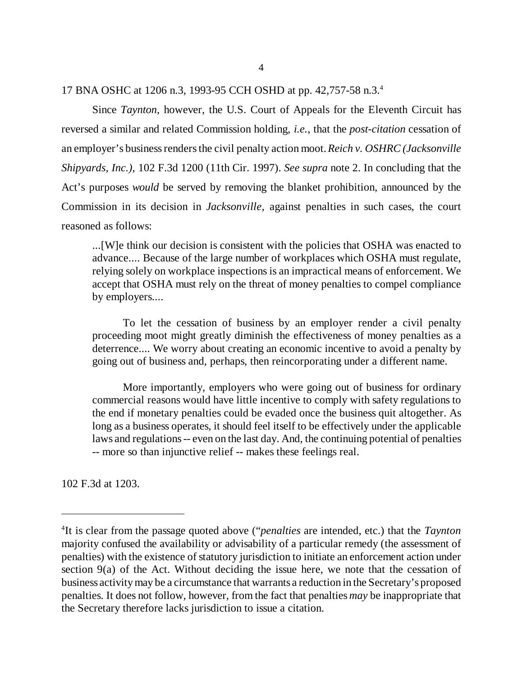17 BNA OSHC at 1206 n.3, 1993-95 CCH OSHD at pp. 42,757-58 n.3.<sup>4</sup>

Since *Taynton*, however, the U.S. Court of Appeals for the Eleventh Circuit has reversed a similar and related Commission holding, *i.e.*, that the *post-citation* cessation of an employer's business renders the civil penalty action moot. *Reich v. OSHRC (Jacksonville Shipyards, Inc.)*, 102 F.3d 1200 (11th Cir. 1997). *See supra* note 2. In concluding that the Act's purposes *would* be served by removing the blanket prohibition, announced by the Commission in its decision in *Jacksonville,* against penalties in such cases, the court reasoned as follows:

...[W]e think our decision is consistent with the policies that OSHA was enacted to advance.... Because of the large number of workplaces which OSHA must regulate, relying solely on workplace inspections is an impractical means of enforcement. We accept that OSHA must rely on the threat of money penalties to compel compliance by employers....

To let the cessation of business by an employer render a civil penalty proceeding moot might greatly diminish the effectiveness of money penalties as a deterrence.... We worry about creating an economic incentive to avoid a penalty by going out of business and, perhaps, then reincorporating under a different name.

More importantly, employers who were going out of business for ordinary commercial reasons would have little incentive to comply with safety regulations to the end if monetary penalties could be evaded once the business quit altogether. As long as a business operates, it should feel itself to be effectively under the applicable laws and regulations -- even on the last day. And, the continuing potential of penalties -- more so than injunctive relief -- makes these feelings real.

102 F.3d at 1203.

<sup>4</sup> It is clear from the passage quoted above ("*penalties* are intended, etc.) that the *Taynton* majority confused the availability or advisability of a particular remedy (the assessment of penalties) with the existence of statutory jurisdiction to initiate an enforcement action under section 9(a) of the Act. Without deciding the issue here, we note that the cessation of business activity may be a circumstance that warrants a reduction in the Secretary's proposed penalties. It does not follow, however, from the fact that penalties *may* be inappropriate that the Secretary therefore lacks jurisdiction to issue a citation.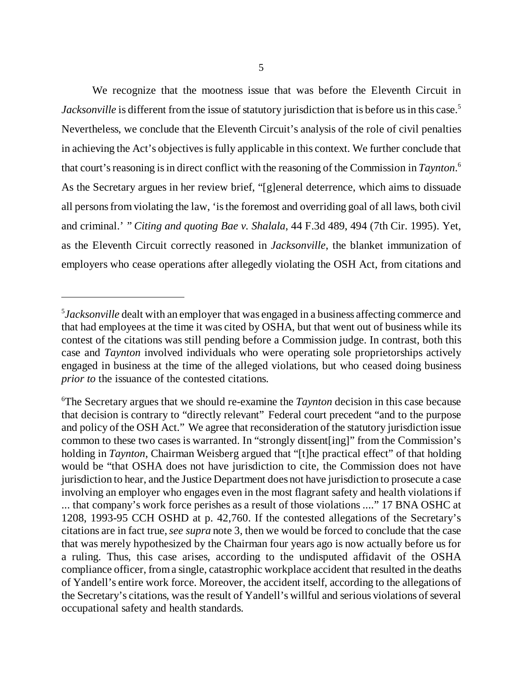We recognize that the mootness issue that was before the Eleventh Circuit in *Jacksonville* is different from the issue of statutory jurisdiction that is before us in this case.<sup>5</sup> Nevertheless, we conclude that the Eleventh Circuit's analysis of the role of civil penalties in achieving the Act's objectives is fully applicable in this context. We further conclude that that court's reasoning is in direct conflict with the reasoning of the Commission in *Taynton*. 6 As the Secretary argues in her review brief, "[g]eneral deterrence, which aims to dissuade all persons from violating the law, 'is the foremost and overriding goal of all laws, both civil and criminal.' " *Citing and quoting Bae v. Shalala*, 44 F.3d 489, 494 (7th Cir. 1995). Yet, as the Eleventh Circuit correctly reasoned in *Jacksonville*, the blanket immunization of employers who cease operations after allegedly violating the OSH Act, from citations and

<sup>5</sup> *Jacksonville* dealt with an employer that was engaged in a business affecting commerce and that had employees at the time it was cited by OSHA, but that went out of business while its contest of the citations was still pending before a Commission judge. In contrast, both this case and *Taynton* involved individuals who were operating sole proprietorships actively engaged in business at the time of the alleged violations, but who ceased doing business *prior to* the issuance of the contested citations.

<sup>6</sup>The Secretary argues that we should re-examine the *Taynton* decision in this case because that decision is contrary to "directly relevant" Federal court precedent "and to the purpose and policy of the OSH Act." We agree that reconsideration of the statutory jurisdiction issue common to these two cases is warranted. In "strongly dissent[ing]" from the Commission's holding in *Taynton*, Chairman Weisberg argued that "[t]he practical effect" of that holding would be "that OSHA does not have jurisdiction to cite, the Commission does not have jurisdiction to hear, and the Justice Department does not have jurisdiction to prosecute a case involving an employer who engages even in the most flagrant safety and health violations if ... that company's work force perishes as a result of those violations ...." 17 BNA OSHC at 1208, 1993-95 CCH OSHD at p. 42,760. If the contested allegations of the Secretary's citations are in fact true, *see supra* note 3, then we would be forced to conclude that the case that was merely hypothesized by the Chairman four years ago is now actually before us for a ruling. Thus, this case arises, according to the undisputed affidavit of the OSHA compliance officer, from a single, catastrophic workplace accident that resulted in the deaths of Yandell's entire work force. Moreover, the accident itself, according to the allegations of the Secretary's citations, was the result of Yandell's willful and serious violations of several occupational safety and health standards.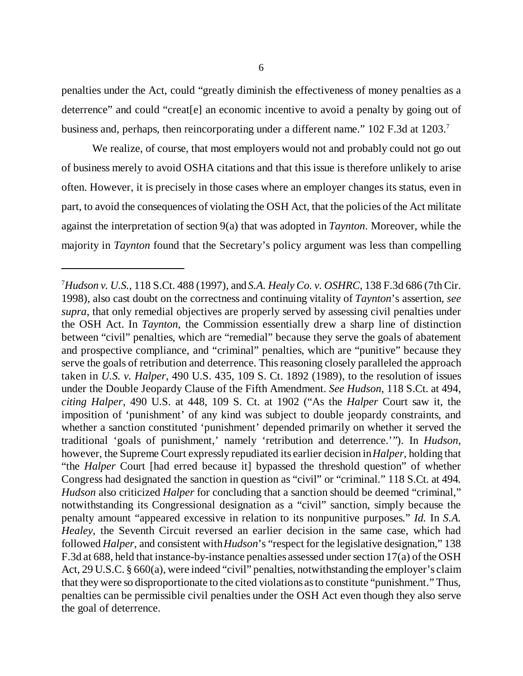penalties under the Act, could "greatly diminish the effectiveness of money penalties as a deterrence" and could "creat[e] an economic incentive to avoid a penalty by going out of business and, perhaps, then reincorporating under a different name." 102 F.3d at 1203.<sup>7</sup>

We realize, of course, that most employers would not and probably could not go out of business merely to avoid OSHA citations and that this issue is therefore unlikely to arise often. However, it is precisely in those cases where an employer changes its status, even in part, to avoid the consequences of violating the OSH Act, that the policies of the Act militate against the interpretation of section 9(a) that was adopted in *Taynton*. Moreover, while the majority in *Taynton* found that the Secretary's policy argument was less than compelling

<sup>7</sup>*Hudson v. U.S.*, 118 S.Ct. 488 (1997), and *S.A. Healy Co. v. OSHRC*, 138 F.3d 686 (7th Cir. 1998), also cast doubt on the correctness and continuing vitality of *Taynton*'s assertion, *see supra*, that only remedial objectives are properly served by assessing civil penalties under the OSH Act. In *Taynton*, the Commission essentially drew a sharp line of distinction between "civil" penalties, which are "remedial" because they serve the goals of abatement and prospective compliance, and "criminal" penalties, which are "punitive" because they serve the goals of retribution and deterrence. This reasoning closely paralleled the approach taken in *U.S. v. Halper*, 490 U.S. 435, 109 S. Ct. 1892 (1989), to the resolution of issues under the Double Jeopardy Clause of the Fifth Amendment. *See Hudson*, 118 S.Ct. at 494, *citing Halper*, 490 U.S. at 448, 109 S. Ct. at 1902 ("As the *Halper* Court saw it, the imposition of 'punishment' of any kind was subject to double jeopardy constraints, and whether a sanction constituted 'punishment' depended primarily on whether it served the traditional 'goals of punishment,' namely 'retribution and deterrence.'"). In *Hudson*, however, the Supreme Court expressly repudiated its earlier decision in *Halper*, holding that "the *Halper* Court [had erred because it] bypassed the threshold question" of whether Congress had designated the sanction in question as "civil" or "criminal." 118 S.Ct. at 494*. Hudson* also criticized *Halper* for concluding that a sanction should be deemed "criminal," notwithstanding its Congressional designation as a "civil" sanction, simply because the penalty amount "appeared excessive in relation to its nonpunitive purposes." *Id.* In *S.A. Healey*, the Seventh Circuit reversed an earlier decision in the same case, which had followed *Halper*, and consistent with *Hudson*'s "respect for the legislative designation," 138 F.3d at 688, held that instance-by-instance penalties assessed under section 17(a) of the OSH Act, 29 U.S.C. § 660(a), were indeed "civil" penalties, notwithstanding the employer's claim that they were so disproportionate to the cited violations as to constitute "punishment." Thus, penalties can be permissible civil penalties under the OSH Act even though they also serve the goal of deterrence.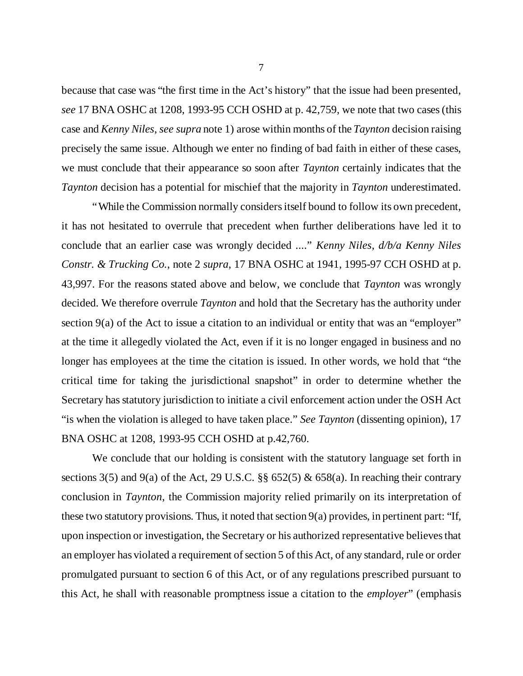because that case was "the first time in the Act's history" that the issue had been presented, *see* 17 BNA OSHC at 1208, 1993-95 CCH OSHD at p. 42,759, we note that two cases (this case and *Kenny Niles*, *see supra* note 1) arose within months of the *Taynton* decision raising precisely the same issue. Although we enter no finding of bad faith in either of these cases, we must conclude that their appearance so soon after *Taynton* certainly indicates that the *Taynton* decision has a potential for mischief that the majority in *Taynton* underestimated.

"While the Commission normally considers itself bound to follow its own precedent, it has not hesitated to overrule that precedent when further deliberations have led it to conclude that an earlier case was wrongly decided ...." *Kenny Niles, d/b/a Kenny Niles Constr. & Trucking Co.*, note 2 *supra*, 17 BNA OSHC at 1941, 1995-97 CCH OSHD at p. 43,997. For the reasons stated above and below, we conclude that *Taynton* was wrongly decided. We therefore overrule *Taynton* and hold that the Secretary has the authority under section 9(a) of the Act to issue a citation to an individual or entity that was an "employer" at the time it allegedly violated the Act, even if it is no longer engaged in business and no longer has employees at the time the citation is issued. In other words, we hold that "the critical time for taking the jurisdictional snapshot" in order to determine whether the Secretary has statutory jurisdiction to initiate a civil enforcement action under the OSH Act "is when the violation is alleged to have taken place." *See Taynton* (dissenting opinion), 17 BNA OSHC at 1208, 1993-95 CCH OSHD at p.42,760.

We conclude that our holding is consistent with the statutory language set forth in sections 3(5) and 9(a) of the Act, 29 U.S.C. §§ 652(5)  $\&$  658(a). In reaching their contrary conclusion in *Taynton*, the Commission majority relied primarily on its interpretation of these two statutory provisions. Thus, it noted that section 9(a) provides, in pertinent part: "If, upon inspection or investigation, the Secretary or his authorized representative believes that an employer has violated a requirement of section 5 of this Act, of any standard, rule or order promulgated pursuant to section 6 of this Act, or of any regulations prescribed pursuant to this Act, he shall with reasonable promptness issue a citation to the *employer*" (emphasis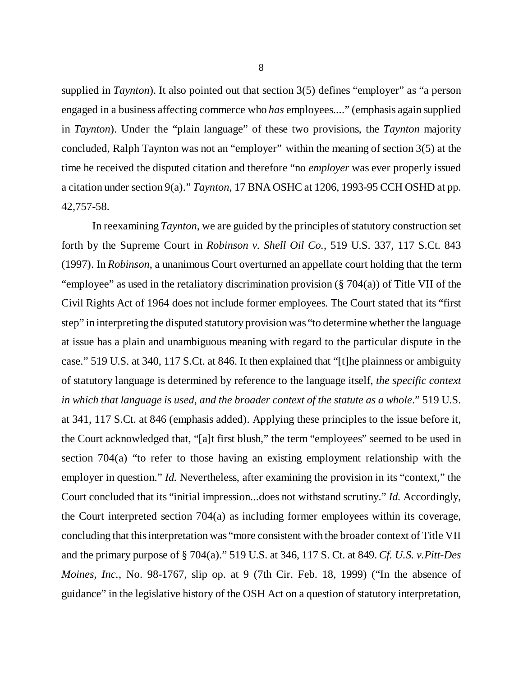supplied in *Taynton*). It also pointed out that section 3(5) defines "employer" as "a person engaged in a business affecting commerce who *has* employees...." (emphasis again supplied in *Taynton*). Under the "plain language" of these two provisions, the *Taynton* majority concluded, Ralph Taynton was not an "employer" within the meaning of section 3(5) at the time he received the disputed citation and therefore "no *employer* was ever properly issued a citation under section 9(a)." *Taynton*, 17 BNA OSHC at 1206, 1993-95 CCH OSHD at pp. 42,757-58.

In reexamining *Taynton*, we are guided by the principles of statutory construction set forth by the Supreme Court in *Robinson v. Shell Oil Co.*, 519 U.S. 337, 117 S.Ct. 843 (1997). In *Robinson*, a unanimous Court overturned an appellate court holding that the term "employee" as used in the retaliatory discrimination provision  $(\S 704(a))$  of Title VII of the Civil Rights Act of 1964 does not include former employees. The Court stated that its "first step" in interpreting the disputed statutory provision was "to determine whether the language at issue has a plain and unambiguous meaning with regard to the particular dispute in the case." 519 U.S. at 340, 117 S.Ct. at 846. It then explained that "[t]he plainness or ambiguity of statutory language is determined by reference to the language itself, *the specific context in which that language is used, and the broader context of the statute as a whole*." 519 U.S. at 341, 117 S.Ct. at 846 (emphasis added). Applying these principles to the issue before it, the Court acknowledged that, "[a]t first blush," the term "employees" seemed to be used in section 704(a) "to refer to those having an existing employment relationship with the employer in question." *Id.* Nevertheless, after examining the provision in its "context," the Court concluded that its "initial impression...does not withstand scrutiny." *Id.* Accordingly, the Court interpreted section 704(a) as including former employees within its coverage, concluding that this interpretation was "more consistent with the broader context of Title VII and the primary purpose of § 704(a)." 519 U.S. at 346, 117 S. Ct. at 849. *Cf. U.S. v.Pitt-Des Moines, Inc.*, No. 98-1767, slip op. at 9 (7th Cir. Feb. 18, 1999) ("In the absence of guidance" in the legislative history of the OSH Act on a question of statutory interpretation,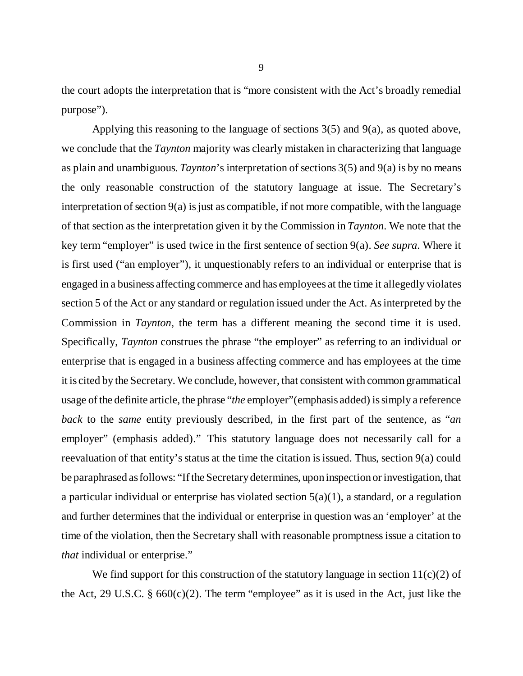the court adopts the interpretation that is "more consistent with the Act's broadly remedial purpose").

Applying this reasoning to the language of sections 3(5) and 9(a), as quoted above, we conclude that the *Taynton* majority was clearly mistaken in characterizing that language as plain and unambiguous. *Taynton*'s interpretation of sections 3(5) and 9(a) is by no means the only reasonable construction of the statutory language at issue. The Secretary's interpretation of section 9(a) is just as compatible, if not more compatible, with the language of that section as the interpretation given it by the Commission in *Taynton*. We note that the key term "employer" is used twice in the first sentence of section 9(a). *See supra*. Where it is first used ("an employer"), it unquestionably refers to an individual or enterprise that is engaged in a business affecting commerce and has employees at the time it allegedly violates section 5 of the Act or any standard or regulation issued under the Act. As interpreted by the Commission in *Taynton*, the term has a different meaning the second time it is used. Specifically, *Taynton* construes the phrase "the employer" as referring to an individual or enterprise that is engaged in a business affecting commerce and has employees at the time it is cited by the Secretary. We conclude, however, that consistent with common grammatical usage of the definite article, the phrase "*the* employer"(emphasis added) is simply a reference *back* to the *same* entity previously described, in the first part of the sentence, as "*an* employer" (emphasis added)." This statutory language does not necessarily call for a reevaluation of that entity's status at the time the citation is issued. Thus, section 9(a) could be paraphrased as follows: "If the Secretary determines, upon inspection or investigation, that a particular individual or enterprise has violated section  $5(a)(1)$ , a standard, or a regulation and further determines that the individual or enterprise in question was an 'employer' at the time of the violation, then the Secretary shall with reasonable promptness issue a citation to *that* individual or enterprise."

We find support for this construction of the statutory language in section  $11(c)(2)$  of the Act, 29 U.S.C.  $\S$  660(c)(2). The term "employee" as it is used in the Act, just like the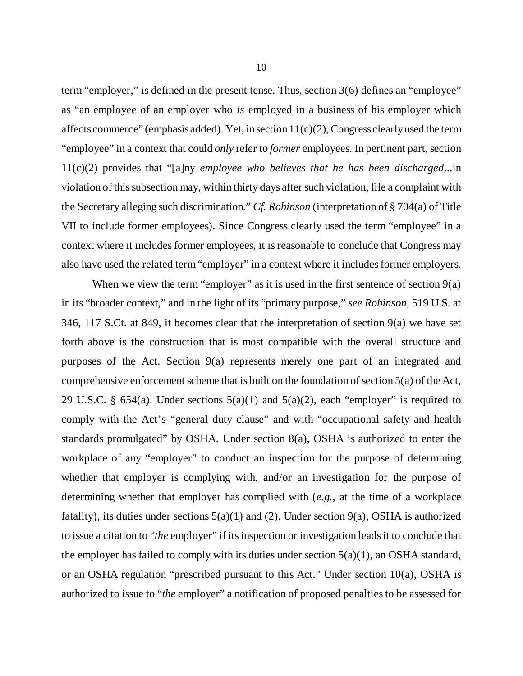term "employer," is defined in the present tense. Thus, section 3(6) defines an "employee" as "an employee of an employer who *is* employed in a business of his employer which affects commerce" (emphasis added). Yet, in section  $11(c)(2)$ , Congress clearly used the term "employee" in a context that could *only* refer to *former* employees. In pertinent part, section 11(c)(2) provides that "[a]ny *employee who believes that he has been discharged*...in violation of this subsection may, within thirty days after such violation, file a complaint with the Secretary alleging such discrimination." *Cf. Robinson* (interpretation of § 704(a) of Title VII to include former employees). Since Congress clearly used the term "employee" in a context where it includes former employees, it is reasonable to conclude that Congress may also have used the related term "employer" in a context where it includes former employers.

When we view the term "employer" as it is used in the first sentence of section  $9(a)$ in its "broader context," and in the light of its "primary purpose," *see Robinson*, 519 U.S. at 346, 117 S.Ct. at 849, it becomes clear that the interpretation of section 9(a) we have set forth above is the construction that is most compatible with the overall structure and purposes of the Act. Section 9(a) represents merely one part of an integrated and comprehensive enforcement scheme that is built on the foundation of section 5(a) of the Act, 29 U.S.C. § 654(a). Under sections  $5(a)(1)$  and  $5(a)(2)$ , each "employer" is required to comply with the Act's "general duty clause" and with "occupational safety and health standards promulgated" by OSHA. Under section 8(a), OSHA is authorized to enter the workplace of any "employer" to conduct an inspection for the purpose of determining whether that employer is complying with, and/or an investigation for the purpose of determining whether that employer has complied with (*e.g.*, at the time of a workplace fatality), its duties under sections  $5(a)(1)$  and (2). Under section 9(a), OSHA is authorized to issue a citation to "*the* employer" if its inspection or investigation leads it to conclude that the employer has failed to comply with its duties under section  $5(a)(1)$ , an OSHA standard, or an OSHA regulation "prescribed pursuant to this Act." Under section 10(a), OSHA is authorized to issue to "*the* employer" a notification of proposed penalties to be assessed for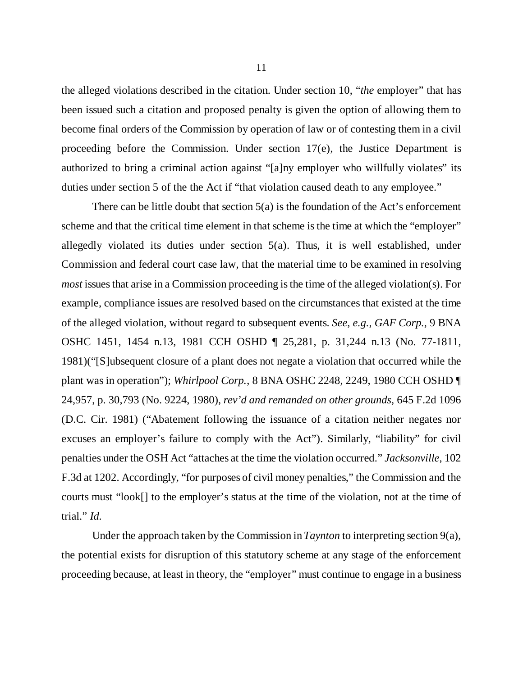the alleged violations described in the citation. Under section 10, "*the* employer" that has been issued such a citation and proposed penalty is given the option of allowing them to become final orders of the Commission by operation of law or of contesting them in a civil proceeding before the Commission. Under section 17(e), the Justice Department is authorized to bring a criminal action against "[a]ny employer who willfully violates" its duties under section 5 of the the Act if "that violation caused death to any employee."

There can be little doubt that section 5(a) is the foundation of the Act's enforcement scheme and that the critical time element in that scheme is the time at which the "employer" allegedly violated its duties under section 5(a). Thus, it is well established, under Commission and federal court case law, that the material time to be examined in resolving *most* issues that arise in a Commission proceeding is the time of the alleged violation(s). For example, compliance issues are resolved based on the circumstances that existed at the time of the alleged violation, without regard to subsequent events. *See*, *e.g.*, *GAF Corp.*, 9 BNA OSHC 1451, 1454 n.13, 1981 CCH OSHD ¶ 25,281, p. 31,244 n.13 (No. 77-1811, 1981)("[S]ubsequent closure of a plant does not negate a violation that occurred while the plant was in operation"); *Whirlpool Corp.*, 8 BNA OSHC 2248, 2249, 1980 CCH OSHD ¶ 24,957, p. 30,793 (No. 9224, 1980), *rev'd and remanded on other grounds*, 645 F.2d 1096 (D.C. Cir. 1981) ("Abatement following the issuance of a citation neither negates nor excuses an employer's failure to comply with the Act"). Similarly, "liability" for civil penalties under the OSH Act "attaches at the time the violation occurred." *Jacksonville*, 102 F.3d at 1202. Accordingly, "for purposes of civil money penalties," the Commission and the courts must "look[] to the employer's status at the time of the violation, not at the time of trial." *Id.*

Under the approach taken by the Commission in *Taynton* to interpreting section 9(a), the potential exists for disruption of this statutory scheme at any stage of the enforcement proceeding because, at least in theory, the "employer" must continue to engage in a business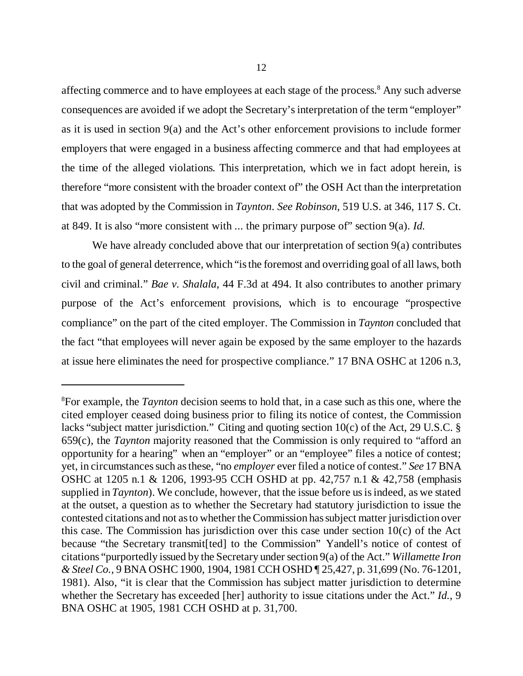affecting commerce and to have employees at each stage of the process.<sup>8</sup> Any such adverse consequences are avoided if we adopt the Secretary's interpretation of the term "employer" as it is used in section 9(a) and the Act's other enforcement provisions to include former employers that were engaged in a business affecting commerce and that had employees at the time of the alleged violations. This interpretation, which we in fact adopt herein, is therefore "more consistent with the broader context of" the OSH Act than the interpretation that was adopted by the Commission in *Taynton*. *See Robinson,* 519 U.S. at 346, 117 S. Ct. at 849. It is also "more consistent with ... the primary purpose of" section 9(a). *Id.*

We have already concluded above that our interpretation of section 9(a) contributes to the goal of general deterrence, which "is the foremost and overriding goal of all laws, both civil and criminal." *Bae v. Shalala*, 44 F.3d at 494. It also contributes to another primary purpose of the Act's enforcement provisions, which is to encourage "prospective compliance" on the part of the cited employer. The Commission in *Taynton* concluded that the fact "that employees will never again be exposed by the same employer to the hazards at issue here eliminates the need for prospective compliance." 17 BNA OSHC at 1206 n.3,

<sup>8</sup>For example, the *Taynton* decision seems to hold that, in a case such as this one, where the cited employer ceased doing business prior to filing its notice of contest, the Commission lacks "subject matter jurisdiction." Citing and quoting section 10(c) of the Act, 29 U.S.C. § 659(c), the *Taynton* majority reasoned that the Commission is only required to "afford an opportunity for a hearing" when an "employer" or an "employee" files a notice of contest; yet, in circumstances such as these, "no *employer* ever filed a notice of contest." *See* 17 BNA OSHC at 1205 n.1 & 1206, 1993-95 CCH OSHD at pp. 42,757 n.1 & 42,758 (emphasis supplied in *Taynton*). We conclude, however, that the issue before us is indeed, as we stated at the outset, a question as to whether the Secretary had statutory jurisdiction to issue the contested citations and not as to whether the Commission has subject matter jurisdiction over this case. The Commission has jurisdiction over this case under section 10(c) of the Act because "the Secretary transmit[ted] to the Commission" Yandell's notice of contest of citations "purportedly issued by the Secretary under section 9(a) of the Act." *Willamette Iron & Steel Co.*, 9 BNA OSHC 1900, 1904, 1981 CCH OSHD ¶ 25,427, p. 31,699 (No. 76-1201, 1981). Also, "it is clear that the Commission has subject matter jurisdiction to determine whether the Secretary has exceeded [her] authority to issue citations under the Act." *Id.*, 9 BNA OSHC at 1905, 1981 CCH OSHD at p. 31,700.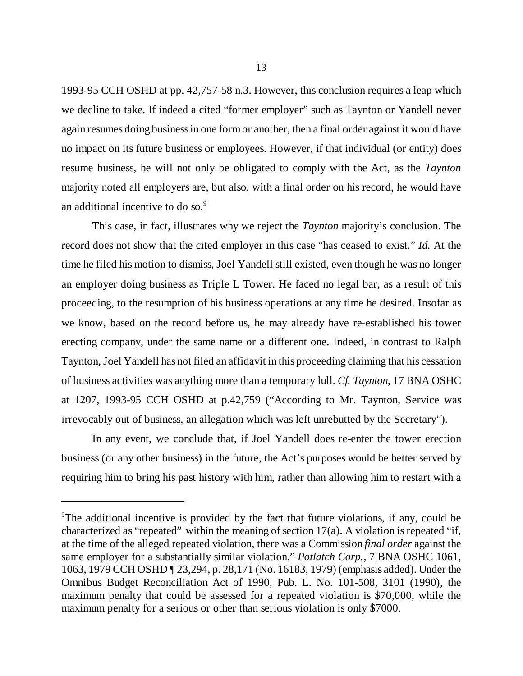1993-95 CCH OSHD at pp. 42,757-58 n.3. However, this conclusion requires a leap which we decline to take. If indeed a cited "former employer" such as Taynton or Yandell never again resumes doing business in one form or another, then a final order against it would have no impact on its future business or employees. However, if that individual (or entity) does resume business, he will not only be obligated to comply with the Act, as the *Taynton* majority noted all employers are, but also, with a final order on his record, he would have an additional incentive to do so.<sup>9</sup>

This case, in fact, illustrates why we reject the *Taynton* majority's conclusion. The record does not show that the cited employer in this case "has ceased to exist." *Id.* At the time he filed his motion to dismiss, Joel Yandell still existed, even though he was no longer an employer doing business as Triple L Tower. He faced no legal bar, as a result of this proceeding, to the resumption of his business operations at any time he desired. Insofar as we know, based on the record before us, he may already have re-established his tower erecting company, under the same name or a different one. Indeed, in contrast to Ralph Taynton, Joel Yandell has not filed an affidavit in this proceeding claiming that his cessation of business activities was anything more than a temporary lull. *Cf. Taynton*, 17 BNA OSHC at 1207, 1993-95 CCH OSHD at p.42,759 ("According to Mr. Taynton, Service was irrevocably out of business, an allegation which was left unrebutted by the Secretary").

In any event, we conclude that, if Joel Yandell does re-enter the tower erection business (or any other business) in the future, the Act's purposes would be better served by requiring him to bring his past history with him, rather than allowing him to restart with a

<sup>9</sup>The additional incentive is provided by the fact that future violations, if any, could be characterized as "repeated" within the meaning of section 17(a). A violation is repeated "if, at the time of the alleged repeated violation, there was a Commission *final order* against the same employer for a substantially similar violation." *Potlatch Corp.*, 7 BNA OSHC 1061, 1063, 1979 CCH OSHD ¶ 23,294, p. 28,171 (No. 16183, 1979) (emphasis added). Under the Omnibus Budget Reconciliation Act of 1990, Pub. L. No. 101-508, 3101 (1990), the maximum penalty that could be assessed for a repeated violation is \$70,000, while the maximum penalty for a serious or other than serious violation is only \$7000.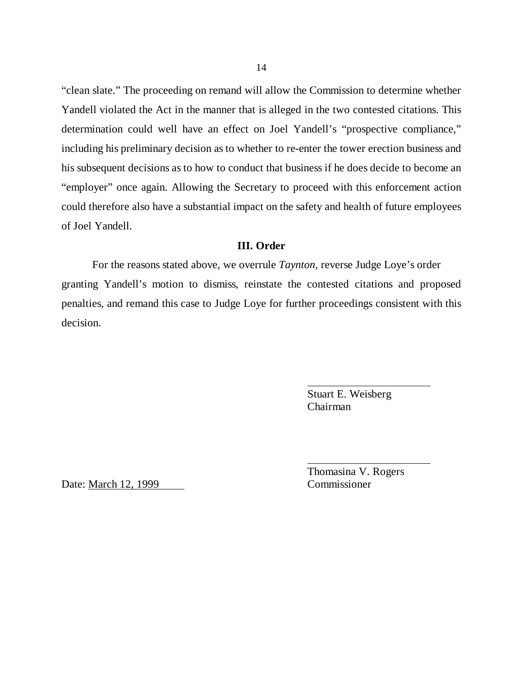"clean slate." The proceeding on remand will allow the Commission to determine whether Yandell violated the Act in the manner that is alleged in the two contested citations. This determination could well have an effect on Joel Yandell's "prospective compliance," including his preliminary decision as to whether to re-enter the tower erection business and his subsequent decisions as to how to conduct that business if he does decide to become an "employer" once again. Allowing the Secretary to proceed with this enforcement action could therefore also have a substantial impact on the safety and health of future employees of Joel Yandell.

### **III. Order**

For the reasons stated above, we overrule *Taynton*, reverse Judge Loye's order granting Yandell's motion to dismiss, reinstate the contested citations and proposed penalties, and remand this case to Judge Loye for further proceedings consistent with this decision.

> Stuart E. Weisberg Chairman

Date: March 12, 1999 Commissioner

Thomasina V. Rogers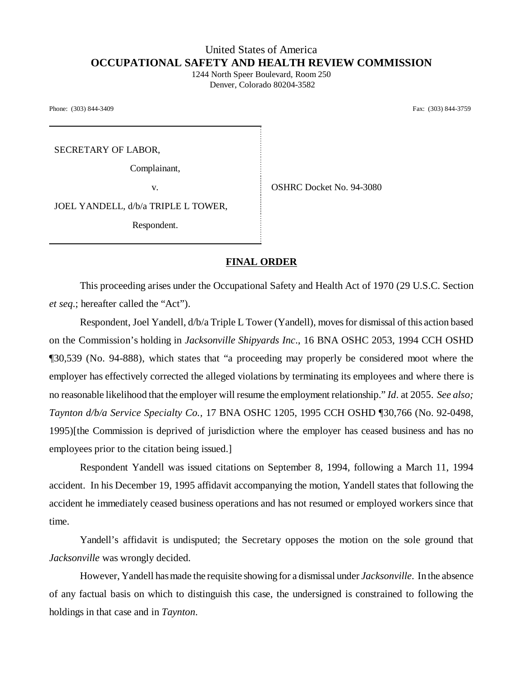# United States of America **OCCUPATIONAL SAFETY AND HEALTH REVIEW COMMISSION**

1244 North Speer Boulevard, Room 250 Denver, Colorado 80204-3582

Phone: (303) 844-3409 Fax: (303) 844-3759

SECRETARY OF LABOR,

Complainant,

v. SHRC Docket No. 94-3080

JOEL YANDELL, d/b/a TRIPLE L TOWER,

Respondent.

#### **FINAL ORDER**

This proceeding arises under the Occupational Safety and Health Act of 1970 (29 U.S.C. Section *et seq*.; hereafter called the "Act").

Respondent, Joel Yandell, d/b/a Triple L Tower (Yandell), moves for dismissal of this action based on the Commission's holding in *Jacksonville Shipyards Inc*., 16 BNA OSHC 2053, 1994 CCH OSHD ¶30,539 (No. 94-888), which states that "a proceeding may properly be considered moot where the employer has effectively corrected the alleged violations by terminating its employees and where there is no reasonable likelihood that the employer will resume the employment relationship." *Id*. at 2055. *See also; Taynton d/b/a Service Specialty Co.,* 17 BNA OSHC 1205, 1995 CCH OSHD ¶30,766 (No. 92-0498, 1995)[the Commission is deprived of jurisdiction where the employer has ceased business and has no employees prior to the citation being issued.]

Respondent Yandell was issued citations on September 8, 1994, following a March 11, 1994 accident. In his December 19, 1995 affidavit accompanying the motion, Yandell states that following the accident he immediately ceased business operations and has not resumed or employed workers since that time.

Yandell's affidavit is undisputed; the Secretary opposes the motion on the sole ground that *Jacksonville* was wrongly decided.

However, Yandell has made the requisite showing for a dismissal under *Jacksonville*. In the absence of any factual basis on which to distinguish this case, the undersigned is constrained to following the holdings in that case and in *Taynton*.